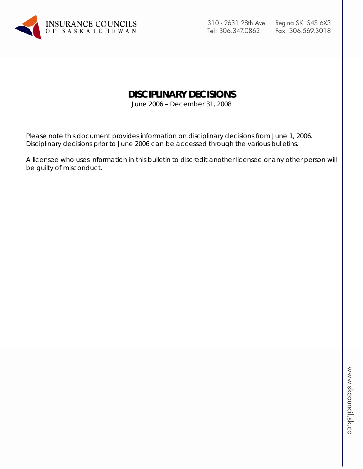

310 - 2631 28th Ave. Tel: 306.347.0862

# **DISCIPLINARY DECISIONS**

June 2006 – December 31, 2008

Please note this document provides information on disciplinary decisions from June 1, 2006. Disciplinary decisions prior to June 2006 can be accessed through the various bulletins.

A licensee who uses information in this bulletin to discredit another licensee or any other person will be guilty of misconduct.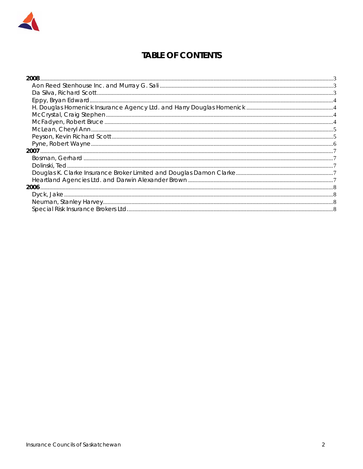

# **TABLE OF CONTENTS**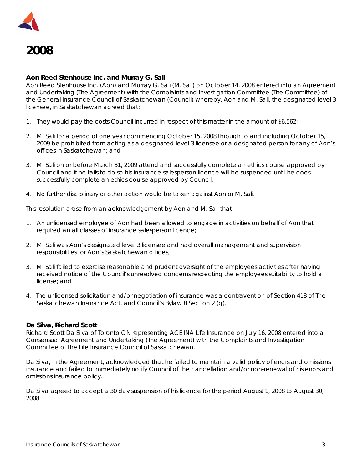



#### **Aon Reed Stenhouse Inc. and Murray G. Sali**

Aon Reed Stenhouse Inc. (Aon) and Murray G. Sali (M. Sali) on October 14, 2008 entered into an Agreement and Undertaking (The Agreement) with the Complaints and Investigation Committee (The Committee) of the General Insurance Council of Saskatchewan (Council) whereby, Aon and M. Sali, the designated level 3 licensee, in Saskatchewan agreed that:

- 1. They would pay the costs Council incurred in respect of this matter in the amount of \$6,562;
- 2. M. Sali for a period of one year commencing October 15, 2008 through to and including October 15, 2009 be prohibited from acting as a designated level 3 licensee or a designated person for any of Aon's offices in Saskatchewan; and
- 3. M. Sali on or before March 31, 2009 attend and successfully complete an ethics course approved by Council and if he fails to do so his insurance salesperson licence will be suspended until he does successfully complete an ethics course approved by Council.
- 4. No further disciplinary or other action would be taken against Aon or M. Sali.

This resolution arose from an acknowledgement by Aon and M. Sali that:

- 1. An unlicensed employee of Aon had been allowed to engage in activities on behalf of Aon that required an all classes of insurance salesperson licence;
- 2. M. Sali was Aon's designated level 3 licensee and had overall management and supervision responsibilities for Aon's Saskatchewan offices;
- 3. M. Sali failed to exercise reasonable and prudent oversight of the employees activities after having received notice of the Council's unresolved concerns respecting the employees suitability to hold a license; and
- 4. The unlicensed solicitation and/or negotiation of insurance was a contravention of Section 418 of *The Saskatchewan Insurance Act,* and Council's Bylaw 8 Section 2 (g).

#### **Da Silva, Richard Scott**

Richard Scott Da Silva of Toronto ON representing ACE INA Life Insurance on July 16, 2008 entered into a Consensual Agreement and Undertaking (The Agreement) with the Complaints and Investigation Committee of the Life Insurance Council of Saskatchewan.

Da Silva, in the Agreement, acknowledged that he failed to maintain a valid policy of errors and omissions insurance and failed to immediately notify Council of the cancellation and/or non-renewal of his errors and omissions insurance policy.

Da Silva agreed to accept a 30 day suspension of his licence for the period August 1, 2008 to August 30, 2008.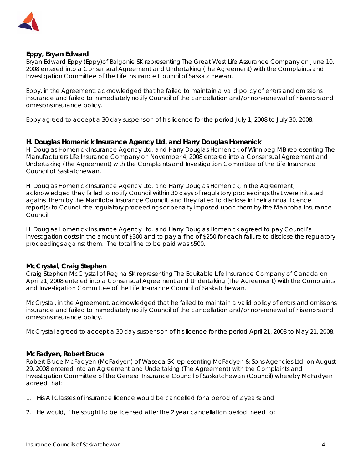

## **Eppy, Bryan Edward**

Bryan Edward Eppy (Eppy)of Balgonie SK representing The Great West Life Assurance Company on June 10, 2008 entered into a Consensual Agreement and Undertaking (The Agreement) with the Complaints and Investigation Committee of the Life Insurance Council of Saskatchewan.

Eppy, in the Agreement, acknowledged that he failed to maintain a valid policy of errors and omissions insurance and failed to immediately notify Council of the cancellation and/or non-renewal of his errors and omissions insurance policy.

Eppy agreed to accept a 30 day suspension of his licence for the period July 1, 2008 to July 30, 2008.

#### **H. Douglas Homenick Insurance Agency Ltd. and Harry Douglas Homenick**

H. Douglas Homenick Insurance Agency Ltd. and Harry Douglas Homenick of Winnipeg MB representing The Manufacturers Life Insurance Company on November 4, 2008 entered into a Consensual Agreement and Undertaking (The Agreement) with the Complaints and Investigation Committee of the Life Insurance Council of Saskatchewan.

H. Douglas Homenick Insurance Agency Ltd. and Harry Douglas Homenick, in the Agreement, acknowledged they failed to notify Council within 30 days of regulatory proceedings that were initiated against them by the Manitoba Insurance Council, and they failed to disclose in their annual licence report(s) to Council the regulatory proceedings or penalty imposed upon them by the Manitoba Insurance Council.

H. Douglas Homenick Insurance Agency Ltd. and Harry Douglas Homenick agreed to pay Council's investigation costs in the amount of \$300 and to pay a fine of \$250 for each failure to disclose the regulatory proceedings against them. The total fine to be paid was \$500.

#### **McCrystal, Craig Stephen**

Craig Stephen McCrystal of Regina SK representing The Equitable Life Insurance Company of Canada on April 21, 2008 entered into a Consensual Agreement and Undertaking (The Agreement) with the Complaints and Investigation Committee of the Life Insurance Council of Saskatchewan.

McCrystal, in the Agreement, acknowledged that he failed to maintain a valid policy of errors and omissions insurance and failed to immediately notify Council of the cancellation and/or non-renewal of his errors and omissions insurance policy.

McCrystal agreed to accept a 30 day suspension of his licence for the period April 21, 2008 to May 21, 2008.

#### **McFadyen, Robert Bruce**

Robert Bruce McFadyen (McFadyen) of Waseca SK representing McFadyen & Sons Agencies Ltd. on August 29, 2008 entered into an Agreement and Undertaking (The Agreement) with the Complaints and Investigation Committee of the General Insurance Council of Saskatchewan (Council) whereby McFadyen agreed that:

- 1. His All Classes of insurance licence would be cancelled for a period of 2 years; and
- 2. He would, if he sought to be licensed after the 2 year cancellation period, need to;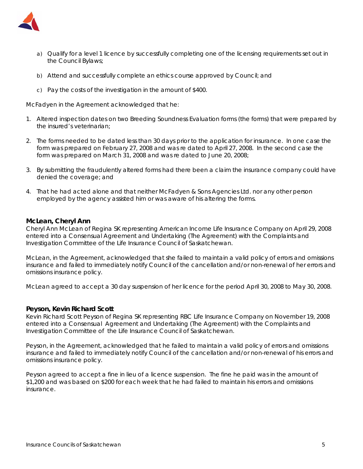

- a) Qualify for a level 1 licence by successfully completing one of the licensing requirements set out in the Council Bylaws;
- b) Attend and successfully complete an ethics course approved by Council; and
- c) Pay the costs of the investigation in the amount of \$400.

McFadyen in the Agreement acknowledged that he:

- 1. Altered inspection dates on two Breeding Soundness Evaluation forms (the forms) that were prepared by the insured's veterinarian;
- 2. The forms needed to be dated less than 30 days prior to the application for insurance. In one case the form was prepared on February 27, 2008 and was re dated to April 27, 2008. In the second case the form was prepared on March 31, 2008 and was re dated to June 20, 2008;
- 3. By submitting the fraudulently altered forms had there been a claim the insurance company could have denied the coverage; and
- 4. That he had acted alone and that neither McFadyen & Sons Agencies Ltd. nor any other person employed by the agency assisted him or was aware of his altering the forms.

#### **McLean, Cheryl Ann**

Cheryl Ann McLean of Regina SK representing American Income Life Insurance Company on April 29, 2008 entered into a Consensual Agreement and Undertaking (The Agreement) with the Complaints and Investigation Committee of the Life Insurance Council of Saskatchewan.

McLean, in the Agreement, acknowledged that she failed to maintain a valid policy of errors and omissions insurance and failed to immediately notify Council of the cancellation and/or non-renewal of her errors and omissions insurance policy.

McLean agreed to accept a 30 day suspension of her licence for the period April 30, 2008 to May 30, 2008.

#### **Peyson, Kevin Richard Scott**

Kevin Richard Scott Peyson of Regina SK representing RBC Life Insurance Company on November 19, 2008 entered into a Consensual Agreement and Undertaking (The Agreement) with the Complaints and Investigation Committee of the Life Insurance Council of Saskatchewan.

Peyson, in the Agreement, acknowledged that he failed to maintain a valid policy of errors and omissions insurance and failed to immediately notify Council of the cancellation and/or non-renewal of his errors and omissions insurance policy.

Peyson agreed to accept a fine in lieu of a licence suspension. The fine he paid was in the amount of \$1,200 and was based on \$200 for each week that he had failed to maintain his errors and omissions insurance.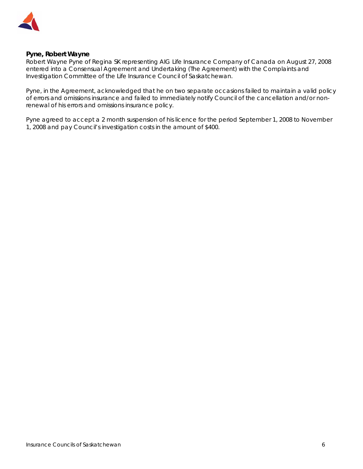

#### **Pyne, Robert Wayne**

Robert Wayne Pyne of Regina SK representing AIG Life Insurance Company of Canada on August 27, 2008 entered into a Consensual Agreement and Undertaking (The Agreement) with the Complaints and Investigation Committee of the Life Insurance Council of Saskatchewan.

Pyne, in the Agreement, acknowledged that he on two separate occasions failed to maintain a valid policy of errors and omissions insurance and failed to immediately notify Council of the cancellation and/or nonrenewal of his errors and omissions insurance policy.

Pyne agreed to accept a 2 month suspension of his licence for the period September 1, 2008 to November 1, 2008 and pay Council's investigation costs in the amount of \$400.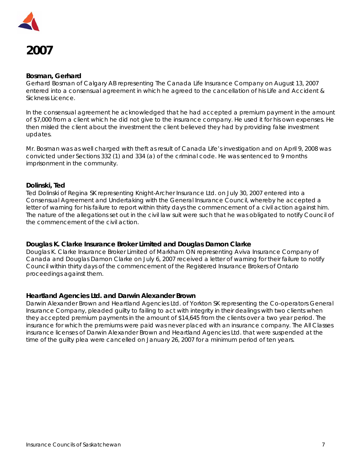

# **2007**

#### **Bosman, Gerhard**

Gerhard Bosman of Calgary AB representing The Canada Life Insurance Company on August 13, 2007 entered into a consensual agreement in which he agreed to the cancellation of his Life and Accident & Sickness Licence.

In the consensual agreement he acknowledged that he had accepted a premium payment in the amount of \$7,000 from a client which he did not give to the insurance company. He used it for his own expenses. He then misled the client about the investment the client believed they had by providing false investment updates.

Mr. Bosman was as well charged with theft as result of Canada Life's investigation and on April 9, 2008 was convicted under Sections 332 (1) and 334 (a) of the criminal code. He was sentenced to 9 months imprisonment in the community.

## **Dolinski, Ted**

Ted Dolinski of Regina SK representing Knight-Archer Insurance Ltd. on July 30, 2007 entered into a Consensual Agreement and Undertaking with the General Insurance Council, whereby he accepted a letter of warning for his failure to report within thirty days the commencement of a civil action against him. The nature of the allegations set out in the civil law suit were such that he was obligated to notify Council of the commencement of the civil action.

## **Douglas K. Clarke Insurance Broker Limited and Douglas Damon Clarke**

Douglas K. Clarke Insurance Broker Limited of Markham ON representing Aviva Insurance Company of Canada and Douglas Damon Clarke on July 6, 2007 received a letter of warning for their failure to notify Council within thirty days of the commencement of the Registered Insurance Brokers of Ontario proceedings against them.

#### **Heartland Agencies Ltd. and Darwin Alexander Brown**

Darwin Alexander Brown and Heartland Agencies Ltd. of Yorkton SK representing the Co-operators General Insurance Company, pleaded guilty to failing to act with integrity in their dealings with two clients when they accepted premium payments in the amount of \$14,645 from the clients over a two year period. The insurance for which the premiums were paid was never placed with an insurance company. The All Classes insurance licenses of Darwin Alexander Brown and Heartland Agencies Ltd. that were suspended at the time of the guilty plea were cancelled on January 26, 2007 for a minimum period of ten years.